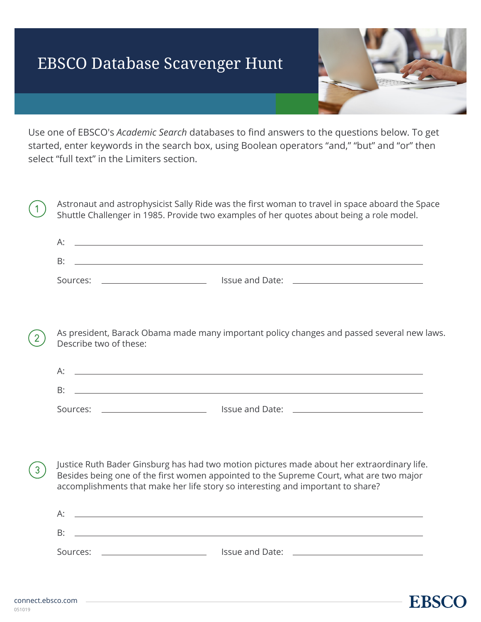## EBSCO Database Scavenger Hunt

**EBSC** 

Use one of EBSCO's *Academic Search* databases to find answers to the questions below. To get started, enter keywords in the search box, using Boolean operators "and," "but" and "or" then select "full text" in the Limiters section.

Astronaut and astrophysicist Sally Ride was the first woman to travel in space aboard the Space Shuttle Challenger in 1985. Provide two examples of her quotes about being a role model.

| А:       |                 |  |
|----------|-----------------|--|
| B:       |                 |  |
| Sources: | Issue and Date: |  |

As president, Barack Obama made many important policy changes and passed several new laws. Describe two of these:

| Α.       |                 |
|----------|-----------------|
| B:       |                 |
| Sources: | Issue and Date: |

Justice Ruth Bader Ginsburg has had two motion pictures made about her extraordinary life. 3 Besides being one of the first women appointed to the Supreme Court, what are two major accomplishments that make her life story so interesting and important to share?

<u> 1980 - Johann Barn, fransk politik (d. 1980)</u> A: B: Sources: Issue and Date:

 $\mathbf{1}$ 

 $\overline{2}$